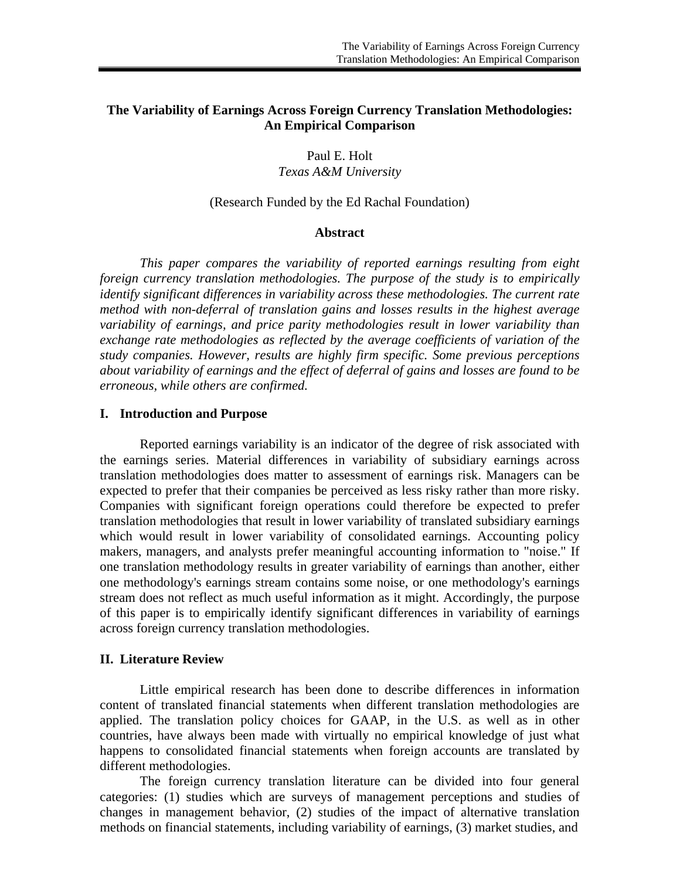## **The Variability of Earnings Across Foreign Currency Translation Methodologies: An Empirical Comparison**

Paul E. Holt *Texas A&M University* 

#### (Research Funded by the Ed Rachal Foundation)

### **Abstract**

*This paper compares the variability of reported earnings resulting from eight foreign currency translation methodologies. The purpose of the study is to empirically identify significant differences in variability across these methodologies. The current rate method with non-deferral of translation gains and losses results in the highest average variability of earnings, and price parity methodologies result in lower variability than exchange rate methodologies as reflected by the average coefficients of variation of the study companies. However, results are highly firm specific. Some previous perceptions about variability of earnings and the effect of deferral of gains and losses are found to be erroneous, while others are confirmed.* 

#### **I. Introduction and Purpose**

Reported earnings variability is an indicator of the degree of risk associated with the earnings series. Material differences in variability of subsidiary earnings across translation methodologies does matter to assessment of earnings risk. Managers can be expected to prefer that their companies be perceived as less risky rather than more risky. Companies with significant foreign operations could therefore be expected to prefer translation methodologies that result in lower variability of translated subsidiary earnings which would result in lower variability of consolidated earnings. Accounting policy makers, managers, and analysts prefer meaningful accounting information to "noise." If one translation methodology results in greater variability of earnings than another, either one methodology's earnings stream contains some noise, or one methodology's earnings stream does not reflect as much useful information as it might. Accordingly, the purpose of this paper is to empirically identify significant differences in variability of earnings across foreign currency translation methodologies.

#### **II. Literature Review**

Little empirical research has been done to describe differences in information content of translated financial statements when different translation methodologies are applied. The translation policy choices for GAAP, in the U.S. as well as in other countries, have always been made with virtually no empirical knowledge of just what happens to consolidated financial statements when foreign accounts are translated by different methodologies.

The foreign currency translation literature can be divided into four general categories: (1) studies which are surveys of management perceptions and studies of changes in management behavior, (2) studies of the impact of alternative translation methods on financial statements, including variability of earnings, (3) market studies, and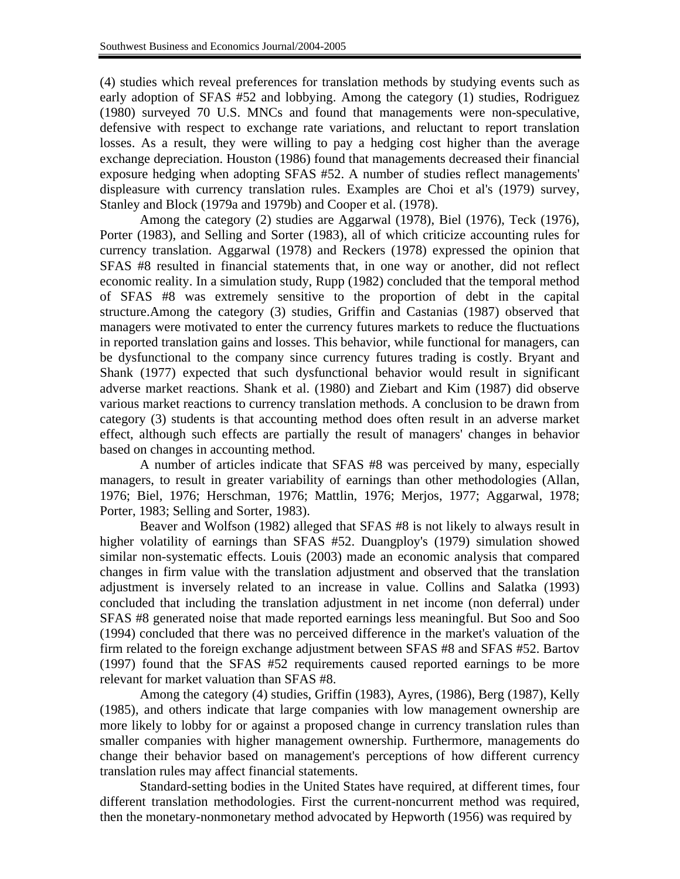(4) studies which reveal preferences for translation methods by studying events such as early adoption of SFAS #52 and lobbying. Among the category (1) studies, Rodriguez (1980) surveyed 70 U.S. MNCs and found that managements were non-speculative, defensive with respect to exchange rate variations, and reluctant to report translation losses. As a result, they were willing to pay a hedging cost higher than the average exchange depreciation. Houston (1986) found that managements decreased their financial exposure hedging when adopting SFAS #52. A number of studies reflect managements' displeasure with currency translation rules. Examples are Choi et al's (1979) survey, Stanley and Block (1979a and 1979b) and Cooper et al. (1978).

Among the category (2) studies are Aggarwal (1978), Biel (1976), Teck (1976), Porter (1983), and Selling and Sorter (1983), all of which criticize accounting rules for currency translation. Aggarwal (1978) and Reckers (1978) expressed the opinion that SFAS #8 resulted in financial statements that, in one way or another, did not reflect economic reality. In a simulation study, Rupp (1982) concluded that the temporal method of SFAS #8 was extremely sensitive to the proportion of debt in the capital structure.Among the category (3) studies, Griffin and Castanias (1987) observed that managers were motivated to enter the currency futures markets to reduce the fluctuations in reported translation gains and losses. This behavior, while functional for managers, can be dysfunctional to the company since currency futures trading is costly. Bryant and Shank (1977) expected that such dysfunctional behavior would result in significant adverse market reactions. Shank et al. (1980) and Ziebart and Kim (1987) did observe various market reactions to currency translation methods. A conclusion to be drawn from category (3) students is that accounting method does often result in an adverse market effect, although such effects are partially the result of managers' changes in behavior based on changes in accounting method.

A number of articles indicate that SFAS #8 was perceived by many, especially managers, to result in greater variability of earnings than other methodologies (Allan, 1976; Biel, 1976; Herschman, 1976; Mattlin, 1976; Merjos, 1977; Aggarwal, 1978; Porter, 1983; Selling and Sorter, 1983).

Beaver and Wolfson (1982) alleged that SFAS #8 is not likely to always result in higher volatility of earnings than SFAS #52. Duangploy's (1979) simulation showed similar non-systematic effects. Louis (2003) made an economic analysis that compared changes in firm value with the translation adjustment and observed that the translation adjustment is inversely related to an increase in value. Collins and Salatka (1993) concluded that including the translation adjustment in net income (non deferral) under SFAS #8 generated noise that made reported earnings less meaningful. But Soo and Soo (1994) concluded that there was no perceived difference in the market's valuation of the firm related to the foreign exchange adjustment between SFAS #8 and SFAS #52. Bartov (1997) found that the SFAS #52 requirements caused reported earnings to be more relevant for market valuation than SFAS #8.

Among the category (4) studies, Griffin (1983), Ayres, (1986), Berg (1987), Kelly (1985), and others indicate that large companies with low management ownership are more likely to lobby for or against a proposed change in currency translation rules than smaller companies with higher management ownership. Furthermore, managements do change their behavior based on management's perceptions of how different currency translation rules may affect financial statements.

Standard-setting bodies in the United States have required, at different times, four different translation methodologies. First the current-noncurrent method was required, then the monetary-nonmonetary method advocated by Hepworth (1956) was required by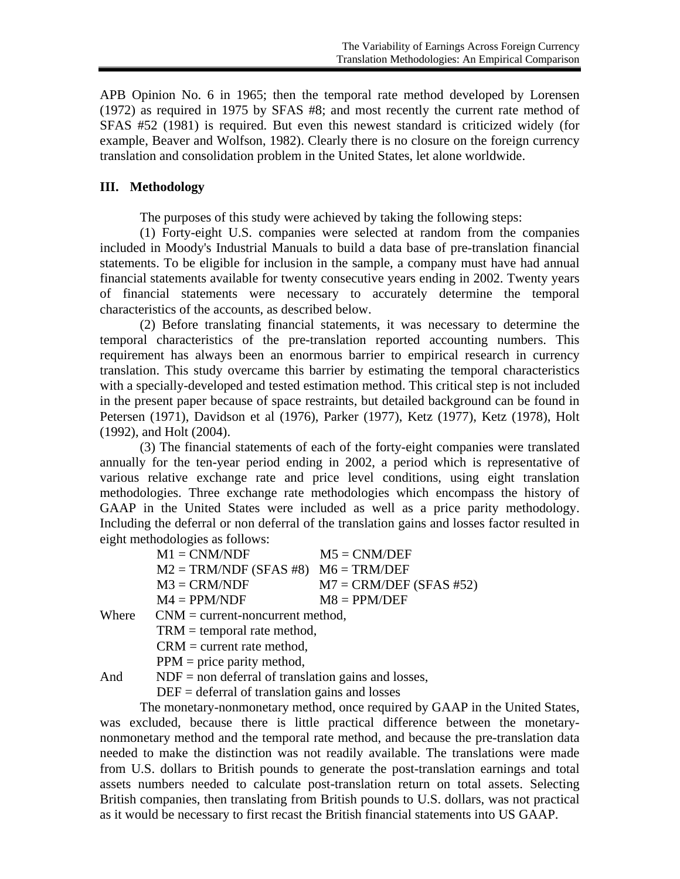APB Opinion No. 6 in 1965; then the temporal rate method developed by Lorensen (1972) as required in 1975 by SFAS #8; and most recently the current rate method of SFAS #52 (1981) is required. But even this newest standard is criticized widely (for example, Beaver and Wolfson, 1982). Clearly there is no closure on the foreign currency translation and consolidation problem in the United States, let alone worldwide.

## **III. Methodology**

The purposes of this study were achieved by taking the following steps:

(1) Forty-eight U.S. companies were selected at random from the companies included in Moody's Industrial Manuals to build a data base of pre-translation financial statements. To be eligible for inclusion in the sample, a company must have had annual financial statements available for twenty consecutive years ending in 2002. Twenty years of financial statements were necessary to accurately determine the temporal characteristics of the accounts, as described below.

(2) Before translating financial statements, it was necessary to determine the temporal characteristics of the pre-translation reported accounting numbers. This requirement has always been an enormous barrier to empirical research in currency translation. This study overcame this barrier by estimating the temporal characteristics with a specially-developed and tested estimation method. This critical step is not included in the present paper because of space restraints, but detailed background can be found in Petersen (1971), Davidson et al (1976), Parker (1977), Ketz (1977), Ketz (1978), Holt (1992), and Holt (2004).

(3) The financial statements of each of the forty-eight companies were translated annually for the ten-year period ending in 2002, a period which is representative of various relative exchange rate and price level conditions, using eight translation methodologies. Three exchange rate methodologies which encompass the history of GAAP in the United States were included as well as a price parity methodology. Including the deferral or non deferral of the translation gains and losses factor resulted in eight methodologies as follows:

| $M1 = CMM/NDF$                          | $M5 = CMM/DEF$            |
|-----------------------------------------|---------------------------|
| $M2 = TRM/NDF (SFAS #8)$ $M6 = TRM/DEF$ |                           |
| $M3 = CRM/NDF$                          | $M7 = CRM/DEF (SFAS #52)$ |
| $M4 = PPM/NDF$                          | $MS = PPM/DEF$            |

Where  $CNM = current-noncurrent method$ ,

TRM = temporal rate method,

 $CRM = current rate method,$ 

 $PPM = price$  parity method,

And NDF = non deferral of translation gains and losses,

 $DEF = *def er def er def er der def er der def er der der der der der der der der der der der der der der der der der der der* <$ 

The monetary-nonmonetary method, once required by GAAP in the United States, was excluded, because there is little practical difference between the monetarynonmonetary method and the temporal rate method, and because the pre-translation data needed to make the distinction was not readily available. The translations were made from U.S. dollars to British pounds to generate the post-translation earnings and total assets numbers needed to calculate post-translation return on total assets. Selecting British companies, then translating from British pounds to U.S. dollars, was not practical as it would be necessary to first recast the British financial statements into US GAAP.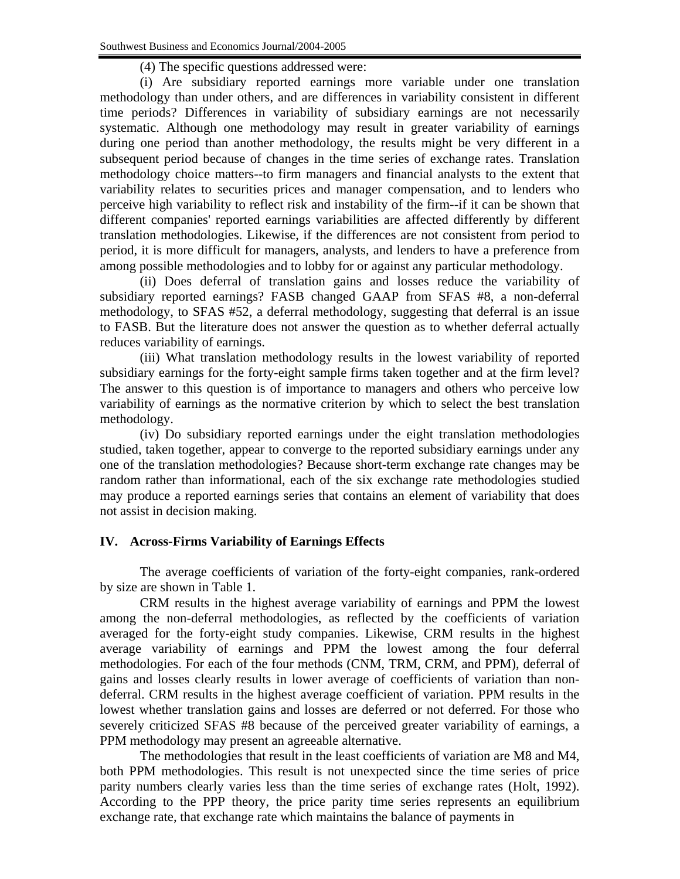(4) The specific questions addressed were:

(i) Are subsidiary reported earnings more variable under one translation methodology than under others, and are differences in variability consistent in different time periods? Differences in variability of subsidiary earnings are not necessarily systematic. Although one methodology may result in greater variability of earnings during one period than another methodology, the results might be very different in a subsequent period because of changes in the time series of exchange rates. Translation methodology choice matters--to firm managers and financial analysts to the extent that variability relates to securities prices and manager compensation, and to lenders who perceive high variability to reflect risk and instability of the firm--if it can be shown that different companies' reported earnings variabilities are affected differently by different translation methodologies. Likewise, if the differences are not consistent from period to period, it is more difficult for managers, analysts, and lenders to have a preference from among possible methodologies and to lobby for or against any particular methodology.

(ii) Does deferral of translation gains and losses reduce the variability of subsidiary reported earnings? FASB changed GAAP from SFAS #8, a non-deferral methodology, to SFAS #52, a deferral methodology, suggesting that deferral is an issue to FASB. But the literature does not answer the question as to whether deferral actually reduces variability of earnings.

(iii) What translation methodology results in the lowest variability of reported subsidiary earnings for the forty-eight sample firms taken together and at the firm level? The answer to this question is of importance to managers and others who perceive low variability of earnings as the normative criterion by which to select the best translation methodology.

(iv) Do subsidiary reported earnings under the eight translation methodologies studied, taken together, appear to converge to the reported subsidiary earnings under any one of the translation methodologies? Because short-term exchange rate changes may be random rather than informational, each of the six exchange rate methodologies studied may produce a reported earnings series that contains an element of variability that does not assist in decision making.

# **IV. Across-Firms Variability of Earnings Effects**

The average coefficients of variation of the forty-eight companies, rank-ordered by size are shown in Table 1.

CRM results in the highest average variability of earnings and PPM the lowest among the non-deferral methodologies, as reflected by the coefficients of variation averaged for the forty-eight study companies. Likewise, CRM results in the highest average variability of earnings and PPM the lowest among the four deferral methodologies. For each of the four methods (CNM, TRM, CRM, and PPM), deferral of gains and losses clearly results in lower average of coefficients of variation than nondeferral. CRM results in the highest average coefficient of variation. PPM results in the lowest whether translation gains and losses are deferred or not deferred. For those who severely criticized SFAS #8 because of the perceived greater variability of earnings, a PPM methodology may present an agreeable alternative.

The methodologies that result in the least coefficients of variation are M8 and M4, both PPM methodologies. This result is not unexpected since the time series of price parity numbers clearly varies less than the time series of exchange rates (Holt, 1992). According to the PPP theory, the price parity time series represents an equilibrium exchange rate, that exchange rate which maintains the balance of payments in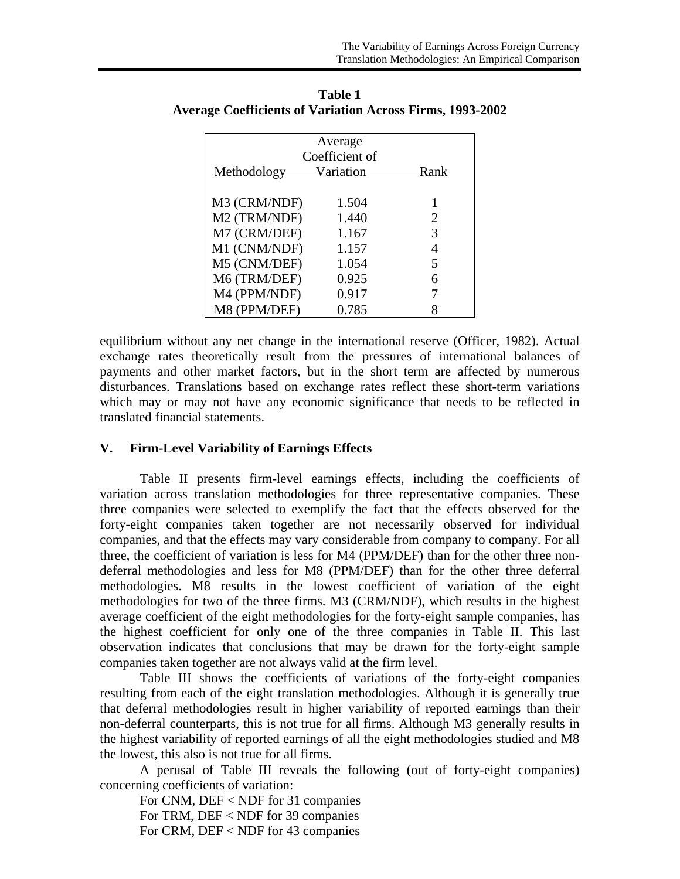| Average<br>Coefficient of |           |      |  |  |  |  |
|---------------------------|-----------|------|--|--|--|--|
| Methodology               | Variation | Rank |  |  |  |  |
| M3 (CRM/NDF)              | 1.504     |      |  |  |  |  |
| M2 (TRM/NDF)              | 1.440     | 2    |  |  |  |  |
| M7 (CRM/DEF)              | 1.167     | 3    |  |  |  |  |
| M1 (CNM/NDF)              | 1.157     | 4    |  |  |  |  |
| M5 (CNM/DEF)              | 1.054     | 5    |  |  |  |  |
| M6 (TRM/DEF)              | 0.925     | 6    |  |  |  |  |
| M4 (PPM/NDF)              | 0.917     |      |  |  |  |  |
| M8 (PPM/DEF)              | 0.785     |      |  |  |  |  |

**Table 1 Average Coefficients of Variation Across Firms, 1993-2002** 

equilibrium without any net change in the international reserve (Officer, 1982). Actual exchange rates theoretically result from the pressures of international balances of payments and other market factors, but in the short term are affected by numerous disturbances. Translations based on exchange rates reflect these short-term variations which may or may not have any economic significance that needs to be reflected in translated financial statements.

## **V. Firm-Level Variability of Earnings Effects**

Table II presents firm-level earnings effects, including the coefficients of variation across translation methodologies for three representative companies. These three companies were selected to exemplify the fact that the effects observed for the forty-eight companies taken together are not necessarily observed for individual companies, and that the effects may vary considerable from company to company. For all three, the coefficient of variation is less for M4 (PPM/DEF) than for the other three nondeferral methodologies and less for M8 (PPM/DEF) than for the other three deferral methodologies. M8 results in the lowest coefficient of variation of the eight methodologies for two of the three firms. M3 (CRM/NDF), which results in the highest average coefficient of the eight methodologies for the forty-eight sample companies, has the highest coefficient for only one of the three companies in Table II. This last observation indicates that conclusions that may be drawn for the forty-eight sample companies taken together are not always valid at the firm level.

Table III shows the coefficients of variations of the forty-eight companies resulting from each of the eight translation methodologies. Although it is generally true that deferral methodologies result in higher variability of reported earnings than their non-deferral counterparts, this is not true for all firms. Although M3 generally results in the highest variability of reported earnings of all the eight methodologies studied and M8 the lowest, this also is not true for all firms.

A perusal of Table III reveals the following (out of forty-eight companies) concerning coefficients of variation:

For CNM, DEF < NDF for 31 companies For TRM, DEF < NDF for 39 companies For CRM, DEF < NDF for 43 companies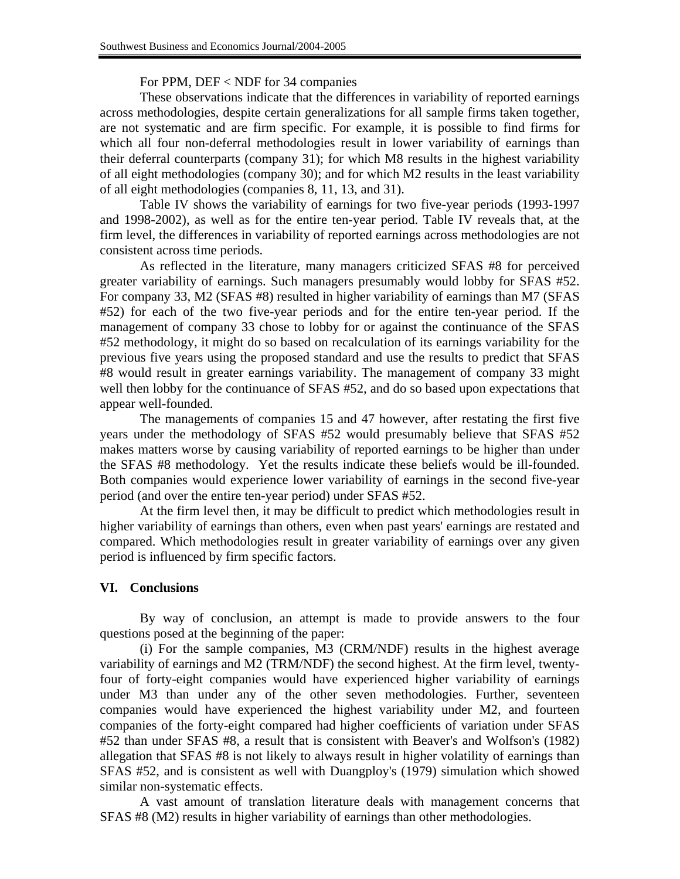### For PPM, DEF < NDF for 34 companies

These observations indicate that the differences in variability of reported earnings across methodologies, despite certain generalizations for all sample firms taken together, are not systematic and are firm specific. For example, it is possible to find firms for which all four non-deferral methodologies result in lower variability of earnings than their deferral counterparts (company 31); for which M8 results in the highest variability of all eight methodologies (company 30); and for which M2 results in the least variability of all eight methodologies (companies 8, 11, 13, and 31).

Table IV shows the variability of earnings for two five-year periods (1993-1997 and 1998-2002), as well as for the entire ten-year period. Table IV reveals that, at the firm level, the differences in variability of reported earnings across methodologies are not consistent across time periods.

As reflected in the literature, many managers criticized SFAS #8 for perceived greater variability of earnings. Such managers presumably would lobby for SFAS #52. For company 33, M2 (SFAS #8) resulted in higher variability of earnings than M7 (SFAS #52) for each of the two five-year periods and for the entire ten-year period. If the management of company 33 chose to lobby for or against the continuance of the SFAS #52 methodology, it might do so based on recalculation of its earnings variability for the previous five years using the proposed standard and use the results to predict that SFAS #8 would result in greater earnings variability. The management of company 33 might well then lobby for the continuance of SFAS #52, and do so based upon expectations that appear well-founded.

The managements of companies 15 and 47 however, after restating the first five years under the methodology of SFAS #52 would presumably believe that SFAS #52 makes matters worse by causing variability of reported earnings to be higher than under the SFAS #8 methodology. Yet the results indicate these beliefs would be ill-founded. Both companies would experience lower variability of earnings in the second five-year period (and over the entire ten-year period) under SFAS #52.

At the firm level then, it may be difficult to predict which methodologies result in higher variability of earnings than others, even when past years' earnings are restated and compared. Which methodologies result in greater variability of earnings over any given period is influenced by firm specific factors.

## **VI. Conclusions**

By way of conclusion, an attempt is made to provide answers to the four questions posed at the beginning of the paper:

(i) For the sample companies, M3 (CRM/NDF) results in the highest average variability of earnings and M2 (TRM/NDF) the second highest. At the firm level, twentyfour of forty-eight companies would have experienced higher variability of earnings under M3 than under any of the other seven methodologies. Further, seventeen companies would have experienced the highest variability under M2, and fourteen companies of the forty-eight compared had higher coefficients of variation under SFAS #52 than under SFAS #8, a result that is consistent with Beaver's and Wolfson's (1982) allegation that SFAS #8 is not likely to always result in higher volatility of earnings than SFAS #52, and is consistent as well with Duangploy's (1979) simulation which showed similar non-systematic effects.

A vast amount of translation literature deals with management concerns that SFAS #8 (M2) results in higher variability of earnings than other methodologies.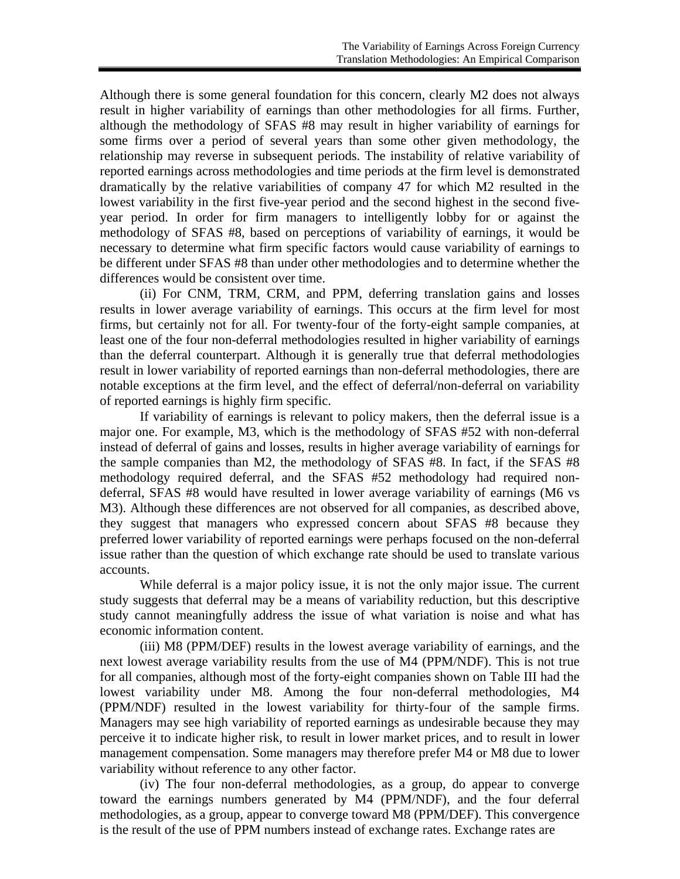Although there is some general foundation for this concern, clearly M2 does not always result in higher variability of earnings than other methodologies for all firms. Further, although the methodology of SFAS #8 may result in higher variability of earnings for some firms over a period of several years than some other given methodology, the relationship may reverse in subsequent periods. The instability of relative variability of reported earnings across methodologies and time periods at the firm level is demonstrated dramatically by the relative variabilities of company 47 for which M2 resulted in the lowest variability in the first five-year period and the second highest in the second fiveyear period. In order for firm managers to intelligently lobby for or against the methodology of SFAS #8, based on perceptions of variability of earnings, it would be necessary to determine what firm specific factors would cause variability of earnings to be different under SFAS #8 than under other methodologies and to determine whether the differences would be consistent over time.

(ii) For CNM, TRM, CRM, and PPM, deferring translation gains and losses results in lower average variability of earnings. This occurs at the firm level for most firms, but certainly not for all. For twenty-four of the forty-eight sample companies, at least one of the four non-deferral methodologies resulted in higher variability of earnings than the deferral counterpart. Although it is generally true that deferral methodologies result in lower variability of reported earnings than non-deferral methodologies, there are notable exceptions at the firm level, and the effect of deferral/non-deferral on variability of reported earnings is highly firm specific.

If variability of earnings is relevant to policy makers, then the deferral issue is a major one. For example, M3, which is the methodology of SFAS #52 with non-deferral instead of deferral of gains and losses, results in higher average variability of earnings for the sample companies than M2, the methodology of SFAS #8. In fact, if the SFAS #8 methodology required deferral, and the SFAS #52 methodology had required nondeferral, SFAS #8 would have resulted in lower average variability of earnings (M6 vs M3). Although these differences are not observed for all companies, as described above, they suggest that managers who expressed concern about SFAS #8 because they preferred lower variability of reported earnings were perhaps focused on the non-deferral issue rather than the question of which exchange rate should be used to translate various accounts.

While deferral is a major policy issue, it is not the only major issue. The current study suggests that deferral may be a means of variability reduction, but this descriptive study cannot meaningfully address the issue of what variation is noise and what has economic information content.

(iii) M8 (PPM/DEF) results in the lowest average variability of earnings, and the next lowest average variability results from the use of M4 (PPM/NDF). This is not true for all companies, although most of the forty-eight companies shown on Table III had the lowest variability under M8. Among the four non-deferral methodologies, M4 (PPM/NDF) resulted in the lowest variability for thirty-four of the sample firms. Managers may see high variability of reported earnings as undesirable because they may perceive it to indicate higher risk, to result in lower market prices, and to result in lower management compensation. Some managers may therefore prefer M4 or M8 due to lower variability without reference to any other factor.

(iv) The four non-deferral methodologies, as a group, do appear to converge toward the earnings numbers generated by M4 (PPM/NDF), and the four deferral methodologies, as a group, appear to converge toward M8 (PPM/DEF). This convergence is the result of the use of PPM numbers instead of exchange rates. Exchange rates are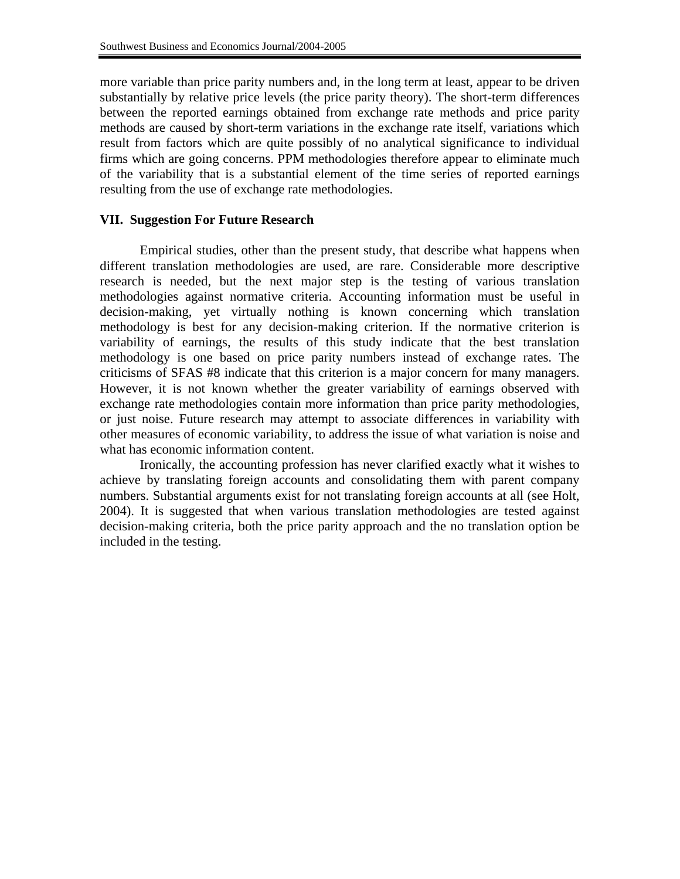more variable than price parity numbers and, in the long term at least, appear to be driven substantially by relative price levels (the price parity theory). The short-term differences between the reported earnings obtained from exchange rate methods and price parity methods are caused by short-term variations in the exchange rate itself, variations which result from factors which are quite possibly of no analytical significance to individual firms which are going concerns. PPM methodologies therefore appear to eliminate much of the variability that is a substantial element of the time series of reported earnings resulting from the use of exchange rate methodologies.

## **VII. Suggestion For Future Research**

Empirical studies, other than the present study, that describe what happens when different translation methodologies are used, are rare. Considerable more descriptive research is needed, but the next major step is the testing of various translation methodologies against normative criteria. Accounting information must be useful in decision-making, yet virtually nothing is known concerning which translation methodology is best for any decision-making criterion. If the normative criterion is variability of earnings, the results of this study indicate that the best translation methodology is one based on price parity numbers instead of exchange rates. The criticisms of SFAS #8 indicate that this criterion is a major concern for many managers. However, it is not known whether the greater variability of earnings observed with exchange rate methodologies contain more information than price parity methodologies, or just noise. Future research may attempt to associate differences in variability with other measures of economic variability, to address the issue of what variation is noise and what has economic information content.

Ironically, the accounting profession has never clarified exactly what it wishes to achieve by translating foreign accounts and consolidating them with parent company numbers. Substantial arguments exist for not translating foreign accounts at all (see Holt, 2004). It is suggested that when various translation methodologies are tested against decision-making criteria, both the price parity approach and the no translation option be included in the testing.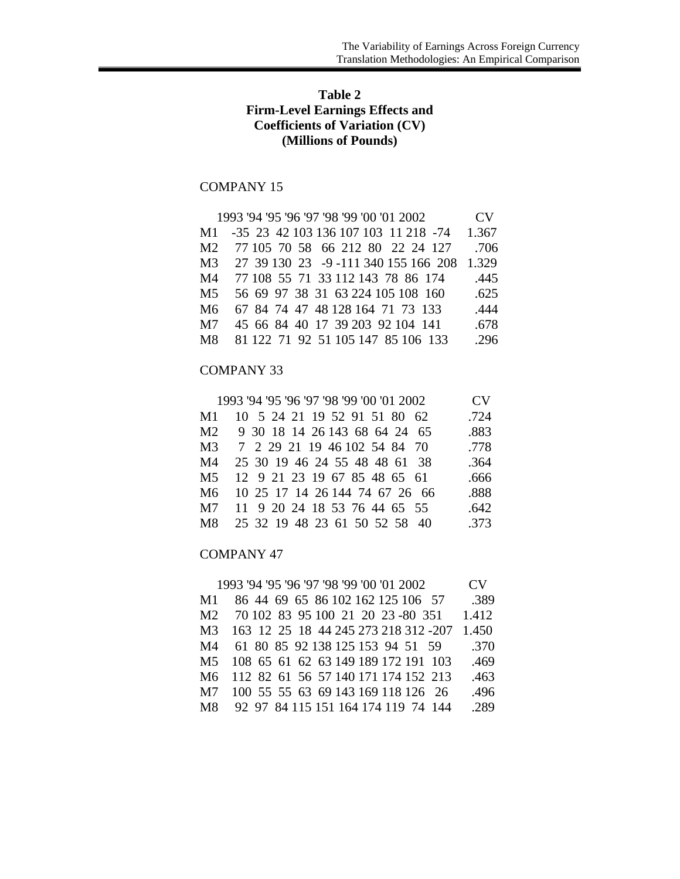# **Table 2 Firm-Level Earnings Effects and Coefficients of Variation (CV) (Millions of Pounds)**

# COMPANY 15

|                | 1993 '94 '95 '96 '97 '98 '99 '00 '01 2002 | CV    |
|----------------|-------------------------------------------|-------|
| M1             | -35 23 42 103 136 107 103 11 218 -74      | 1.367 |
| M <sub>2</sub> | 77 105 70 58 66 212 80 22 24 127          | .706  |
| M <sub>3</sub> | 27 39 130 23 -9 -111 340 155 166 208      | 1.329 |
| M4             | 77 108 55 71 33 112 143 78 86 174         | .445  |
| M <sub>5</sub> | 56 69 97 38 31 63 224 105 108 160         | .625  |
| M6             | 67 84 74 47 48 128 164 71 73 133          | .444  |
| M7             | 45 66 84 40 17 39 203 92 104 141          | .678  |
| M8             | 81 122 71 92 51 105 147 85 106 133        | .296  |

#### COMPANY 33

|     | 1993 '94 '95 '96 '97 '98 '99 '00 '01 2002 | <b>CV</b> |
|-----|-------------------------------------------|-----------|
| M1  | 10 5 24 21 19 52 91 51 80 62              | .724      |
| M2. | 9 30 18 14 26 143 68 64 24 65             | .883      |
| M3  | 7 2 29 21 19 46 102 54 84 70              | .778      |
| M4  | 25 30 19 46 24 55 48 48 61 38             | .364      |
| M5  | 12 9 21 23 19 67 85 48 65 61              | .666      |
| M6  | 10 25 17 14 26 144 74 67 26 66            | .888      |
| M7  | 11 9 20 24 18 53 76 44 65 55              | .642      |
| M8  | 25 32 19 48 23 61 50 52 58 40             | .373      |

### COMPANY 47

|                | 1993 '94 '95 '96 '97 '98 '99 '00 '01 2002 | CV.   |
|----------------|-------------------------------------------|-------|
| M1             | 86 44 69 65 86 102 162 125 106 57         | .389  |
| M2             | 70 102 83 95 100 21 20 23 -80 351         | 1.412 |
| M <sub>3</sub> | 163 12 25 18 44 245 273 218 312 -207      | 1.450 |
| M4             | 61 80 85 92 138 125 153 94 51 59          | .370  |
| M <sub>5</sub> | 108 65 61 62 63 149 189 172 191 103       | .469  |
| M6             | 112 82 61 56 57 140 171 174 152 213       | .463  |
| M <sub>7</sub> | 100 55 55 63 69 143 169 118 126 26        | .496  |
| M8             | 92 97 84 115 151 164 174 119 74 144       | .289  |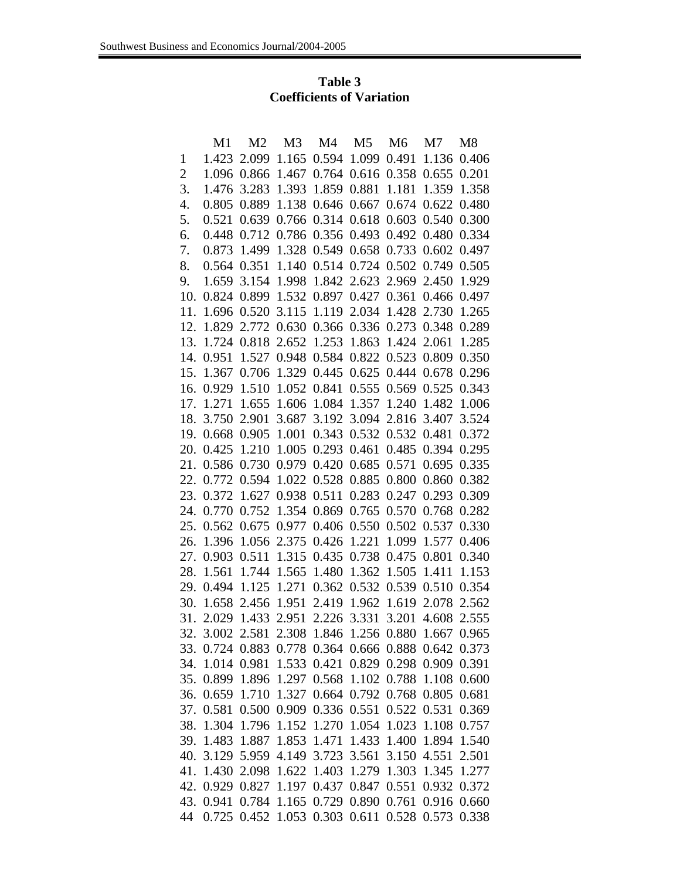# **Table 3 Coefficients of Variation**

|     | M1          | M <sub>2</sub>                      | M <sub>3</sub>    | M4                                  | M <sub>5</sub>    | M <sub>6</sub>    | M7    | M <sub>8</sub> |
|-----|-------------|-------------------------------------|-------------------|-------------------------------------|-------------------|-------------------|-------|----------------|
| 1   | 1.423       | 2.099                               | 1.165             | 0.594                               | 1.099             | 0.491             | 1.136 | 0.406          |
| 2   | 1.096       | 0.866                               | 1.467             | 0.764                               | 0.616             | 0.358             | 0.655 | 0.201          |
| 3.  | 1.476       | 3.283                               | 1.393             | 1.859                               | 0.881             | 1.181             | 1.359 | 1.358          |
| 4.  | 0.805       | 0.889                               | 1.138             | 0.646                               | 0.667             | 0.674             | 0.622 | 0.480          |
| 5.  | 0.521       | 0.639                               | 0.766             | 0.314                               | 0.618             | 0.603             | 0.540 | 0.300          |
| 6.  | 0.448       | 0.712                               | 0.786             | 0.356                               | 0.493             | 0.492             | 0.480 | 0.334          |
| 7.  | 0.873       | 1.499                               | 1.328             |                                     | 0.549 0.658       | 0.733             | 0.602 | 0.497          |
| 8.  | 0.564       | 0.351                               | 1.140             | 0.514                               | 0.724             | 0.502             | 0.749 | 0.505          |
| 9.  | 1.659       | 3.154                               | 1.998             | 1.842                               | 2.623             | 2.969             | 2.450 | 1.929          |
| 10. | 0.824       | 0.899                               | 1.532             | 0.897                               | 0.427             | 0.361             | 0.466 | 0.497          |
| 11. | 1.696       | 0.520                               | 3.115             | 1.119                               | 2.034             | 1.428             | 2.730 | 1.265          |
| 12. | 1.829       | 2.772                               | 0.630             | 0.366                               | 0.336             | 0.273             | 0.348 | 0.289          |
| 13. | 1.724       | 0.818                               | 2.652             | 1.253                               | 1.863             | 1.424             | 2.061 | 1.285          |
| 14. | 0.951       | 1.527                               | 0.948             | 0.584                               | 0.822             | 0.523             | 0.809 | 0.350          |
| 15. | 1.367       | 0.706                               | 1.329             | 0.445                               | 0.625             | 0.444             | 0.678 | 0.296          |
| 16. | 0.929       | 1.510                               | 1.052             | 0.841                               | 0.555             | 0.569             | 0.525 | 0.343          |
| 17. | 1.271       | 1.655                               | 1.606             | 1.084                               | 1.357             | 1.240             | 1.482 | 1.006          |
| 18. | 3.750       | 2.901                               | 3.687             | 3.192                               | 3.094             | 2.816             | 3.407 | 3.524          |
| 19. | 0.668       | 0.905                               | 1.001             | 0.343                               | 0.532             | 0.532             | 0.481 | 0.372          |
| 20. | 0.425       | 1.210                               | 1.005             | 0.293                               | 0.461             | 0.485             | 0.394 | 0.295          |
| 21. | 0.586       | 0.730                               | 0.979             | 0.420                               | 0.685             | 0.571             | 0.695 | 0.335          |
| 22. | 0.772       | 0.594                               | 1.022             | 0.528                               | 0.885             | 0.800             | 0.860 | 0.382          |
| 23. | 0.372       | 1.627                               | 0.938             | 0.511                               | 0.283             | 0.247             | 0.293 | 0.309          |
| 24. | 0.770       | 0.752                               | 1.354             | 0.869                               | 0.765             | 0.570             | 0.768 | 0.282          |
| 25. | 0.562       | 0.675                               | 0.977             | 0.406                               | 0.550             | 0.502             | 0.537 | 0.330          |
| 26. | 1.396       | 1.056                               | 2.375             | 0.426                               | 1.221             | 1.099             | 1.577 | 0.406          |
| 27. | 0.903       | 0.511                               | 1.315             | 0.435                               | 0.738             | 0.475             | 0.801 | 0.340          |
| 28. | 1.561       | 1.744                               | 1.565             | 1.480                               | 1.362             | 1.505             | 1.411 | 1.153          |
| 29. | 0.494       | 1.125                               | 1.271             | 0.362                               | 0.532             | 0.539             | 0.510 | 0.354          |
| 30. | 1.658       | 2.456                               | 1.951             | 2.419                               | 1.962             | 1.619             | 2.078 | 2.562          |
| 31. | 2.029       | 1.433                               | 2.951             | 2.226                               | 3.331             | 3.201             | 4.608 | 2.555          |
| 32. | 3.002 2.581 |                                     |                   | 2.308 1.846                         | 1.256 0.880       |                   | 1.667 | 0.965          |
| 33. |             | 0.724 0.883                         | 0.778             |                                     | 0.364 0.666 0.888 |                   | 0.642 | 0.373          |
| 34. |             | 1.014 0.981                         |                   | 1.533 0.421 0.829 0.298 0.909       |                   |                   |       | 0.391          |
| 35. | 0.899       | 1.896                               | 1.297             | 0.568                               |                   | 1.102 0.788       | 1.108 | 0.600          |
| 36. | 0.659       | 1.710                               | 1.327             |                                     |                   | 0.664 0.792 0.768 | 0.805 | 0.681          |
| 37. | 0.581       |                                     |                   | 0.500 0.909 0.336 0.551 0.522 0.531 |                   |                   |       | 0.369          |
| 38. | 1.304       | 1.796                               | 1.152             | 1.270                               | 1.054             | 1.023             | 1.108 | 0.757          |
| 39. | 1.483       | 1.887                               | 1.853             | 1.471                               | 1.433             | 1.400             | 1.894 | 1.540          |
| 40. | 3.129       |                                     | 5.959 4.149       | 3.723                               | 3.561             | 3.150             | 4.551 | 2.501          |
| 41. | 1.430       |                                     | 2.098 1.622 1.403 |                                     | 1.279 1.303       |                   | 1.345 | 1.277          |
| 42. | 0.929       | 0.827                               | 1.197             | 0.437                               | 0.847             | 0.551             | 0.932 | 0.372          |
| 43. | 0.941       |                                     |                   | 0.784 1.165 0.729 0.890 0.761       |                   |                   | 0.916 | 0.660          |
| 44  | 0.725       | 0.452 1.053 0.303 0.611 0.528 0.573 |                   |                                     |                   |                   |       | 0.338          |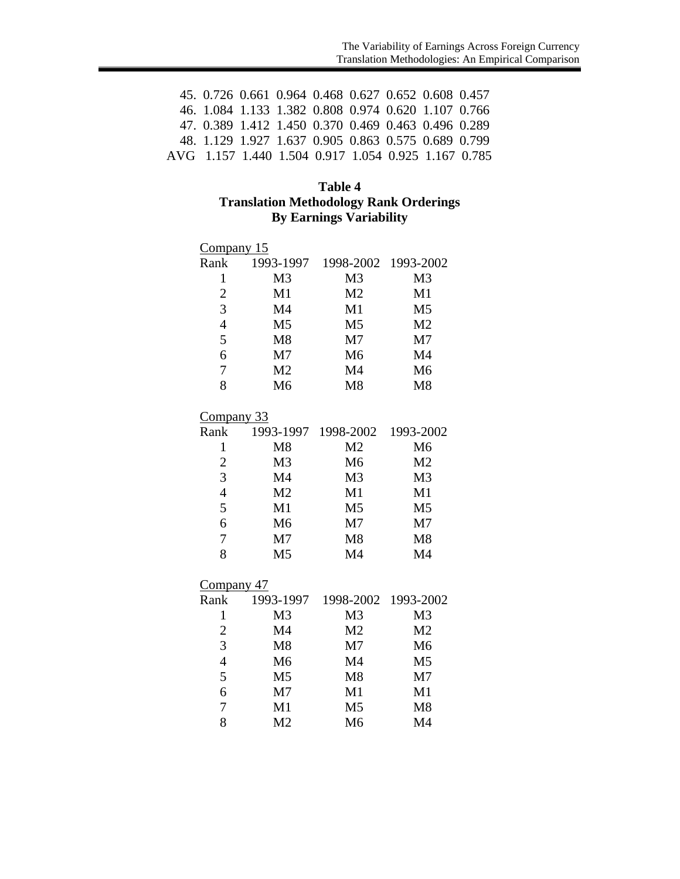| 45. 0.726 0.661 0.964 0.468 0.627 0.652 0.608 0.457 |  |  |  |  |
|-----------------------------------------------------|--|--|--|--|
| 46. 1.084 1.133 1.382 0.808 0.974 0.620 1.107 0.766 |  |  |  |  |
| 47, 0.389 1.412 1.450 0.370 0.469 0.463 0.496 0.289 |  |  |  |  |
| 48. 1.129 1.927 1.637 0.905 0.863 0.575 0.689 0.799 |  |  |  |  |
| AVG 1.157 1.440 1.504 0.917 1.054 0.925 1.167 0.785 |  |  |  |  |

# **Table 4 Translation Methodology Rank Orderings By Earnings Variability**

| Company 15        |                               |                |                |  |  |  |  |
|-------------------|-------------------------------|----------------|----------------|--|--|--|--|
| Rank              | 1993-1997                     | 1998-2002      | 1993-2002      |  |  |  |  |
| $\mathbf{1}$      | M <sub>3</sub>                | M <sub>3</sub> | M <sub>3</sub> |  |  |  |  |
| $\overline{c}$    | M1                            | M <sub>2</sub> | M1             |  |  |  |  |
| 3                 | M4                            | M1             | M <sub>5</sub> |  |  |  |  |
| $\overline{4}$    | M <sub>5</sub>                | M <sub>5</sub> | M <sub>2</sub> |  |  |  |  |
| 5                 | M8                            | M <sub>7</sub> | M <sub>7</sub> |  |  |  |  |
| 6                 | M <sub>7</sub>                | M <sub>6</sub> | M4             |  |  |  |  |
| $\overline{7}$    | M <sub>2</sub>                | M4             | M <sub>6</sub> |  |  |  |  |
| 8                 | M <sub>6</sub>                | M8             | M8             |  |  |  |  |
| <u>Company 33</u> |                               |                |                |  |  |  |  |
| Rank              | 1993-1997                     | 1998-2002      | 1993-2002      |  |  |  |  |
| $\mathbf{1}$      | M8                            | M <sub>2</sub> | M6             |  |  |  |  |
| $\overline{c}$    | M <sub>3</sub>                | M <sub>6</sub> | M <sub>2</sub> |  |  |  |  |
| 3                 | M4                            | M <sub>3</sub> | M <sub>3</sub> |  |  |  |  |
| $\overline{4}$    | M <sub>2</sub>                | M1             | M1             |  |  |  |  |
| 5                 | M1                            | M <sub>5</sub> | M <sub>5</sub> |  |  |  |  |
| 6                 | M <sub>6</sub>                | M <sub>7</sub> | M <sub>7</sub> |  |  |  |  |
| 7                 | M <sub>7</sub>                | M8             | M8             |  |  |  |  |
| 8                 | M <sub>5</sub>                | M4             | M4             |  |  |  |  |
| <u>Company 47</u> |                               |                |                |  |  |  |  |
|                   | $D_{\text{sub}} = 1002, 1007$ | 1009.3002.     | 1002.3003      |  |  |  |  |

| Rank           | 1993-1997      | 1998-2002 1993-2002 |                |
|----------------|----------------|---------------------|----------------|
| 1              | M <sub>3</sub> | M <sub>3</sub>      | M <sub>3</sub> |
| $\overline{2}$ | M <sub>4</sub> | M <sub>2</sub>      | M <sub>2</sub> |
| 3              | M8             | M <sub>7</sub>      | M <sub>6</sub> |
| $\overline{4}$ | M <sub>6</sub> | M <sub>4</sub>      | M <sub>5</sub> |
| 5              | M <sub>5</sub> | M8                  | M <sub>7</sub> |
| 6              | M <sub>7</sub> | M1                  | M1             |
| 7              | M1             | M <sub>5</sub>      | M8             |
| 8              | M <sub>2</sub> | M <sub>6</sub>      | M4             |
|                |                |                     |                |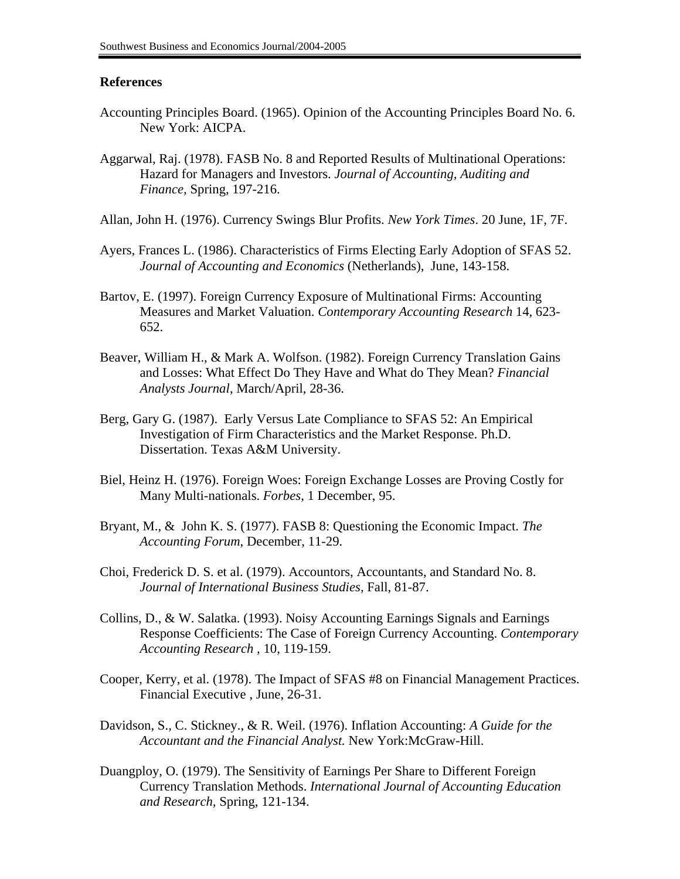### **References**

- Accounting Principles Board. (1965). Opinion of the Accounting Principles Board No. 6. New York: AICPA.
- Aggarwal, Raj. (1978). FASB No. 8 and Reported Results of Multinational Operations: Hazard for Managers and Investors. *Journal of Accounting, Auditing and Finance,* Spring, 197-216.
- Allan, John H. (1976). Currency Swings Blur Profits. *New York Times*. 20 June, 1F, 7F.
- Ayers, Frances L. (1986). Characteristics of Firms Electing Early Adoption of SFAS 52. *Journal of Accounting and Economics* (Netherlands), June, 143-158.
- Bartov, E. (1997). Foreign Currency Exposure of Multinational Firms: Accounting Measures and Market Valuation. *Contemporary Accounting Research* 14, 623- 652.
- Beaver, William H., & Mark A. Wolfson. (1982). Foreign Currency Translation Gains and Losses: What Effect Do They Have and What do They Mean? *Financial Analysts Journal*, March/April, 28-36.
- Berg, Gary G. (1987). Early Versus Late Compliance to SFAS 52: An Empirical Investigation of Firm Characteristics and the Market Response. Ph.D. Dissertation. Texas A&M University.
- Biel, Heinz H. (1976). Foreign Woes: Foreign Exchange Losses are Proving Costly for Many Multi-nationals. *Forbes*, 1 December, 95.
- Bryant, M., & John K. S. (1977). FASB 8: Questioning the Economic Impact. *The Accounting Forum*, December, 11-29.
- Choi, Frederick D. S. et al. (1979). Accountors, Accountants, and Standard No. 8. *Journal of International Business Studies*, Fall, 81-87.
- Collins, D., & W. Salatka. (1993). Noisy Accounting Earnings Signals and Earnings Response Coefficients: The Case of Foreign Currency Accounting. *Contemporary Accounting Research ,* 10, 119-159.
- Cooper, Kerry, et al. (1978). The Impact of SFAS #8 on Financial Management Practices. Financial Executive , June, 26-31.
- Davidson, S., C. Stickney., & R. Weil. (1976). Inflation Accounting: *A Guide for the Accountant and the Financial Analyst.* New York:McGraw-Hill.
- Duangploy, O. (1979). The Sensitivity of Earnings Per Share to Different Foreign Currency Translation Methods. *International Journal of Accounting Education and Research,* Spring, 121-134.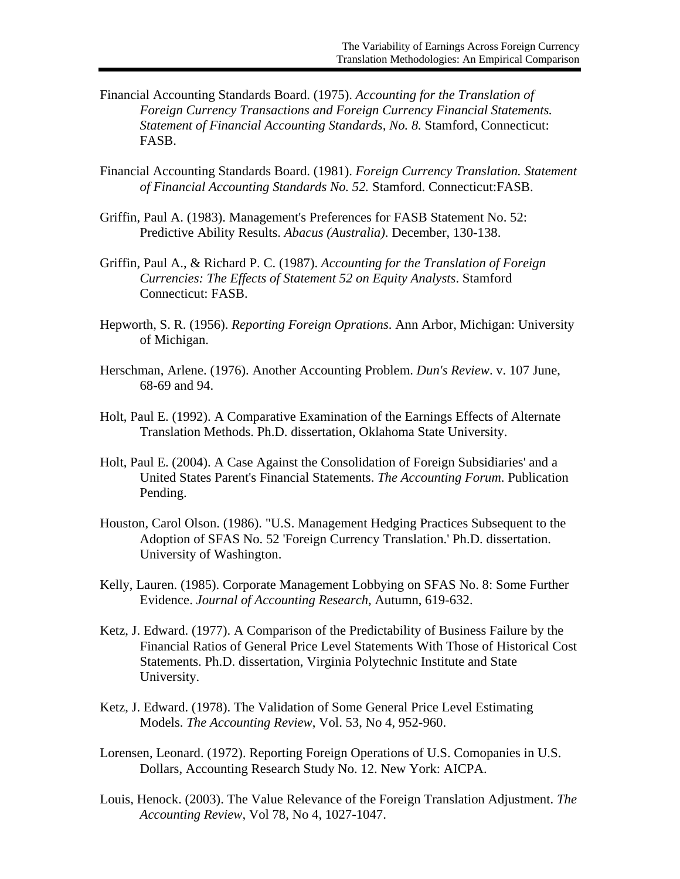- Financial Accounting Standards Board. (1975). *Accounting for the Translation of Foreign Currency Transactions and Foreign Currency Financial Statements. Statement of Financial Accounting Standards, No. 8.* Stamford, Connecticut: FASB.
- Financial Accounting Standards Board. (1981). *Foreign Currency Translation. Statement of Financial Accounting Standards No. 52.* Stamford. Connecticut:FASB.
- Griffin, Paul A. (1983). Management's Preferences for FASB Statement No. 52: Predictive Ability Results. *Abacus (Australia)*. December, 130-138.
- Griffin, Paul A., & Richard P. C. (1987). *Accounting for the Translation of Foreign Currencies: The Effects of Statement 52 on Equity Analysts*. Stamford Connecticut: FASB.
- Hepworth, S. R. (1956). *Reporting Foreign Oprations*. Ann Arbor, Michigan: University of Michigan.
- Herschman, Arlene. (1976). Another Accounting Problem. *Dun's Review*. v. 107 June, 68-69 and 94.
- Holt, Paul E. (1992). A Comparative Examination of the Earnings Effects of Alternate Translation Methods. Ph.D. dissertation, Oklahoma State University.
- Holt, Paul E. (2004). A Case Against the Consolidation of Foreign Subsidiaries' and a United States Parent's Financial Statements. *The Accounting Forum*. Publication Pending.
- Houston, Carol Olson. (1986). "U.S. Management Hedging Practices Subsequent to the Adoption of SFAS No. 52 'Foreign Currency Translation.' Ph.D. dissertation. University of Washington.
- Kelly, Lauren. (1985). Corporate Management Lobbying on SFAS No. 8: Some Further Evidence. *Journal of Accounting Research*, Autumn, 619-632.
- Ketz, J. Edward. (1977). A Comparison of the Predictability of Business Failure by the Financial Ratios of General Price Level Statements With Those of Historical Cost Statements. Ph.D. dissertation, Virginia Polytechnic Institute and State University.
- Ketz, J. Edward. (1978). The Validation of Some General Price Level Estimating Models. *The Accounting Review*, Vol. 53, No 4, 952-960.
- Lorensen, Leonard. (1972). Reporting Foreign Operations of U.S. Comopanies in U.S. Dollars, Accounting Research Study No. 12. New York: AICPA.
- Louis, Henock. (2003). The Value Relevance of the Foreign Translation Adjustment. *The Accounting Review*, Vol 78, No 4, 1027-1047.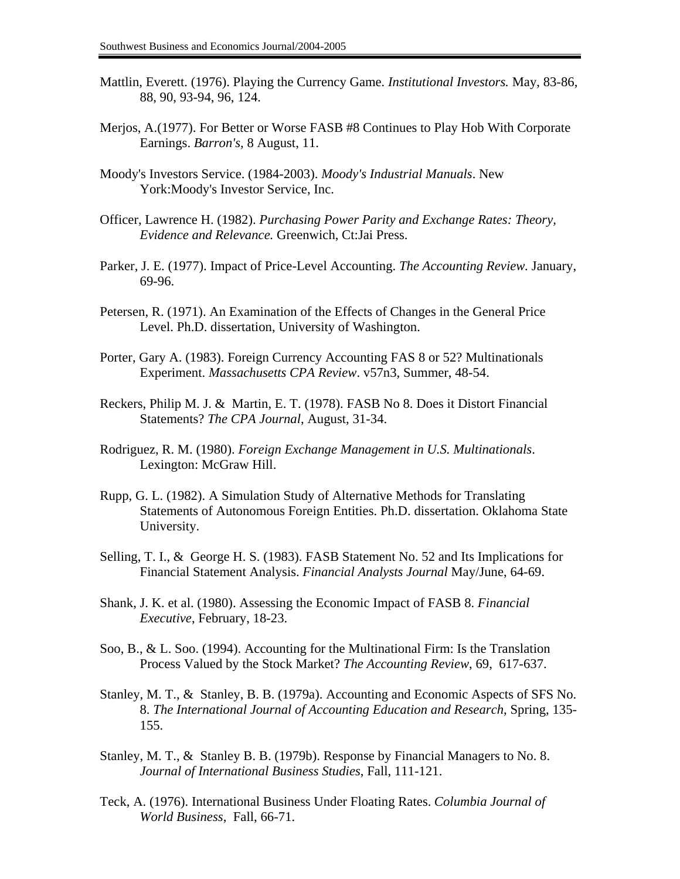- Mattlin, Everett. (1976). Playing the Currency Game. *Institutional Investors.* May, 83-86, 88, 90, 93-94, 96, 124.
- Merjos, A.(1977). For Better or Worse FASB #8 Continues to Play Hob With Corporate Earnings. *Barron's,* 8 August, 11.
- Moody's Investors Service. (1984-2003). *Moody's Industrial Manuals*. New York:Moody's Investor Service, Inc.
- Officer, Lawrence H. (1982). *Purchasing Power Parity and Exchange Rates: Theory, Evidence and Relevance.* Greenwich, Ct:Jai Press.
- Parker, J. E. (1977). Impact of Price-Level Accounting. *The Accounting Review.* January, 69-96.
- Petersen, R. (1971). An Examination of the Effects of Changes in the General Price Level. Ph.D. dissertation, University of Washington.
- Porter, Gary A. (1983). Foreign Currency Accounting FAS 8 or 52? Multinationals Experiment. *Massachusetts CPA Review*. v57n3, Summer, 48-54.
- Reckers, Philip M. J. & Martin, E. T. (1978). FASB No 8. Does it Distort Financial Statements? *The CPA Journal*, August, 31-34.
- Rodriguez, R. M. (1980). *Foreign Exchange Management in U.S. Multinationals*. Lexington: McGraw Hill.
- Rupp, G. L. (1982). A Simulation Study of Alternative Methods for Translating Statements of Autonomous Foreign Entities. Ph.D. dissertation. Oklahoma State University.
- Selling, T. I., & George H. S. (1983). FASB Statement No. 52 and Its Implications for Financial Statement Analysis. *Financial Analysts Journal* May/June, 64-69.
- Shank, J. K. et al. (1980). Assessing the Economic Impact of FASB 8. *Financial Executive*, February, 18-23.
- Soo, B., & L. Soo. (1994). Accounting for the Multinational Firm: Is the Translation Process Valued by the Stock Market? *The Accounting Review*, 69, 617-637.
- Stanley, M. T., & Stanley, B. B. (1979a). Accounting and Economic Aspects of SFS No. 8. *The International Journal of Accounting Education and Research*, Spring, 135- 155.
- Stanley, M. T., & Stanley B. B. (1979b). Response by Financial Managers to No. 8. *Journal of International Business Studies*, Fall, 111-121.
- Teck, A. (1976). International Business Under Floating Rates. *Columbia Journal of World Business*, Fall, 66-71.